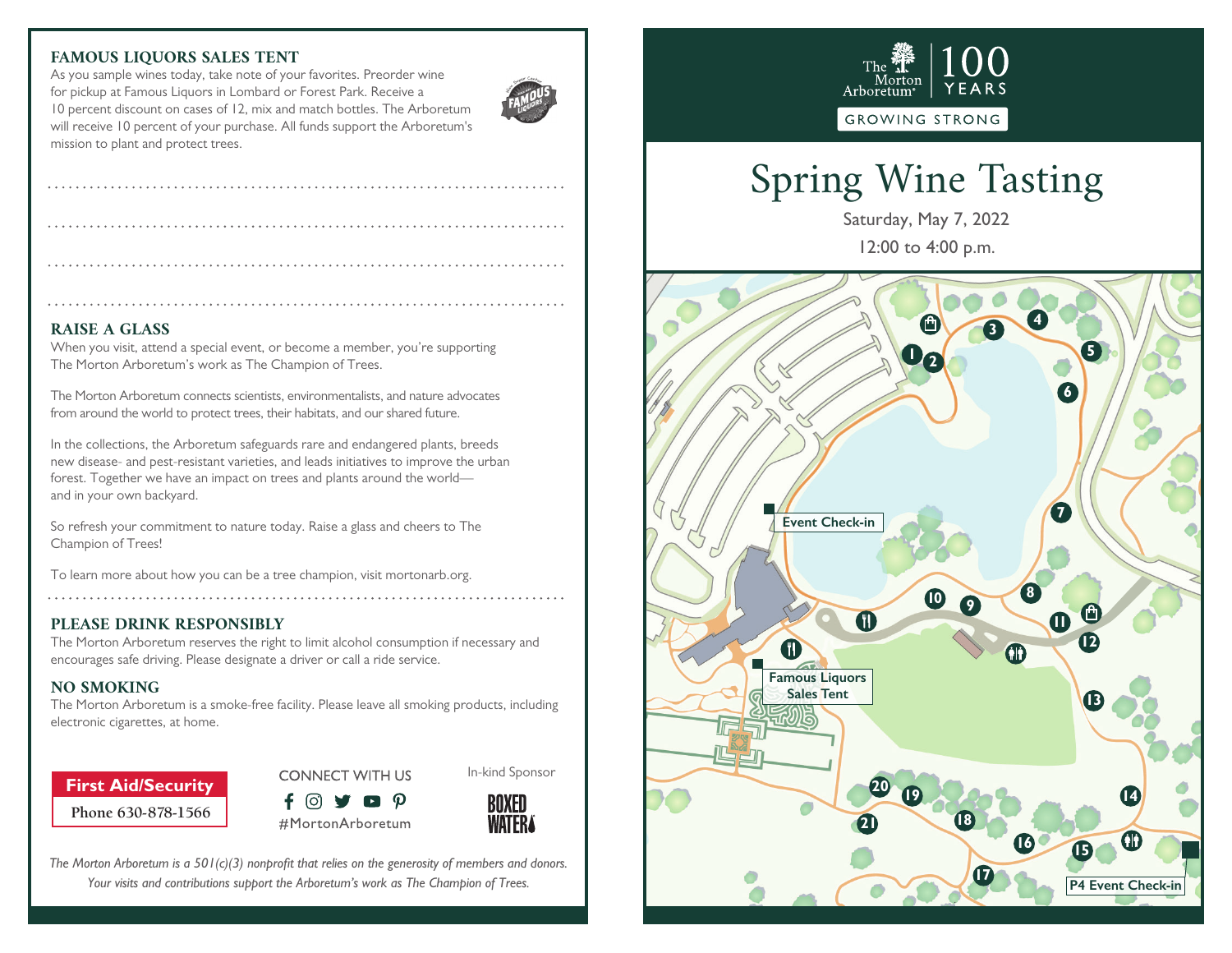### **FAMOUS LIQUORS SALES TENT**

As you sample wines today, take note of your favorites. Preorder wine for pickup at Famous Liquors in Lombard or Forest Park. Receive a 10 percent discount on cases of 12, mix and match bottles. The Arboretum will receive 10 percent of your purchase. All funds support the Arboretum's mission to plant and protect trees.



#### **RAISE A GLASS**

When you visit, attend a special event, or become a member, you're supporting The Morton Arboretum's work as The Champion of Trees.

The Morton Arboretum connects scientists, environmentalists, and nature advocates from around the world to protect trees, their habitats, and our shared future.

In the collections, the Arboretum safeguards rare and endangered plants, breeds new disease- and pest-resistant varieties, and leads initiatives to improve the urban forest. Together we have an impact on trees and plants around the world and in your own backyard.

So refresh your commitment to nature today. Raise a glass and cheers to The Champion of Trees!

To learn more about how you can be a tree champion, visit mortonarb.org. 

#### **PLEASE DRINK RESPONSIBLY**

The Morton Arboretum reserves the right to limit alcohol consumption if necessary and encourages safe driving. Please designate a driver or call a ride service.

#### **NO SMOKING**

The Morton Arboretum is a smoke-free facility. Please leave all smoking products, including electronic cigarettes, at home.

**Phone 630-878-1566 First Aid/Security**



#MortonArboretum

In-kind Sponsor



*The Morton Arboretum is a 501(c)(3) nonprofit that relies on the generosity of members and donors. Your visits and contributions support the Arboretum's work as The Champion of Trees.*



# Spring Wine Tasting

Saturday, May 7, 2022 12:00 to 4:00 p.m.